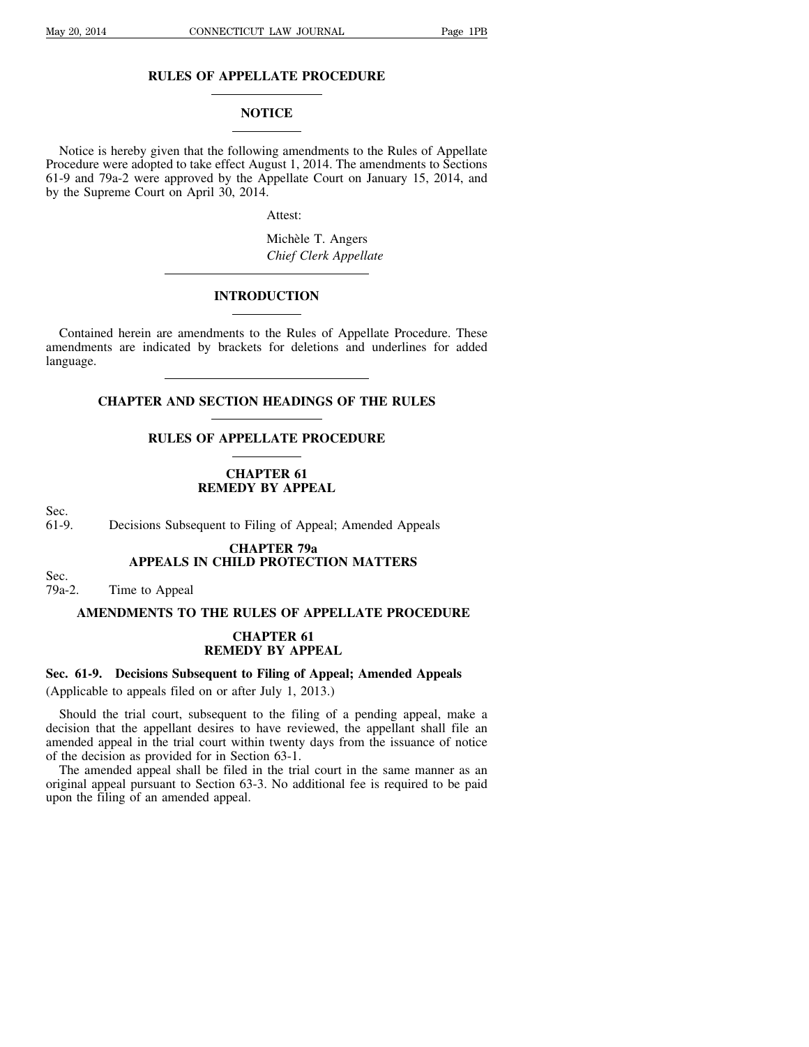# **RULES OF APPELLATE PROCEDURE**

## **NOTICE**

Notice is hereby given that the following amendments to the Rules of Appellate Procedure were adopted to take effect August 1, 2014. The amendments to Sections 61-9 and 79a-2 were approved by the Appellate Court on January 15, 2014, and by the Supreme Court on April 30, 2014.

Attest:

Michèle T. Angers *Chief Clerk Appellate*

## **INTRODUCTION**

Contained herein are amendments to the Rules of Appellate Procedure. These amendments are indicated by brackets for deletions and underlines for added language.

**CHAPTER AND SECTION HEADINGS OF THE RULES**

## **RULES OF APPELLATE PROCEDURE**

# **CHAPTER 61 REMEDY BY APPEAL**

Sec.<br>61-9.

Decisions Subsequent to Filing of Appeal; Amended Appeals

## **CHAPTER 79a APPEALS IN CHILD PROTECTION MATTERS**

Sec.<br>79a-2. Time to Appeal

# **AMENDMENTS TO THE RULES OF APPELLATE PROCEDURE**

## **CHAPTER 61 REMEDY BY APPEAL**

# **Sec. 61-9. Decisions Subsequent to Filing of Appeal; Amended Appeals**

(Applicable to appeals filed on or after July 1, 2013.)

Should the trial court, subsequent to the filing of a pending appeal, make a decision that the appellant desires to have reviewed, the appellant shall file an amended appeal in the trial court within twenty days from the issuance of notice of the decision as provided for in Section 63-1.

The amended appeal shall be filed in the trial court in the same manner as an original appeal pursuant to Section 63-3. No additional fee is required to be paid upon the filing of an amended appeal.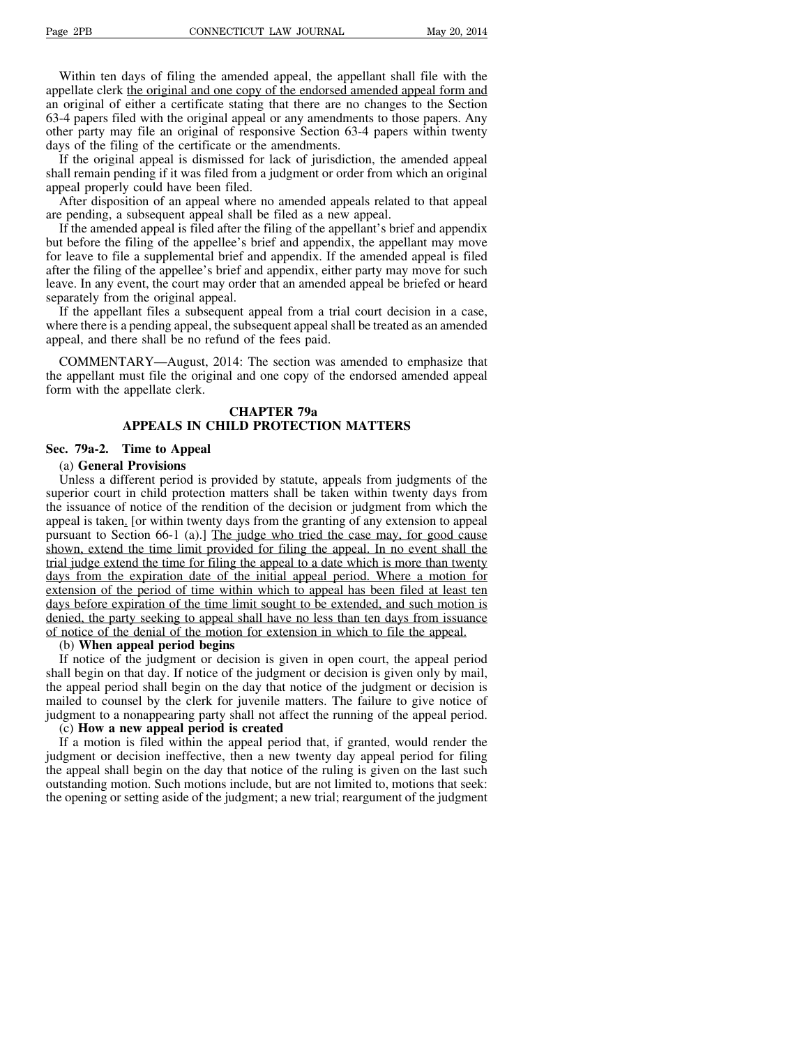Within ten days of filing the amended appeal, the appellant shall file with the appellate clerk the original and one copy of the endorsed amended appeal form and an original of either a certificate stating that there are no changes to the Section 63-4 papers filed with the original appeal or any amendments to those papers. Any other party may file an original of responsive Section 63-4 papers within twenty days of the filing of the certificate or the amendments.

If the original appeal is dismissed for lack of jurisdiction, the amended appeal shall remain pending if it was filed from a judgment or order from which an original appeal properly could have been filed.

After disposition of an appeal where no amended appeals related to that appeal are pending, a subsequent appeal shall be filed as a new appeal.

If the amended appeal is filed after the filing of the appellant's brief and appendix but before the filing of the appellee's brief and appendix, the appellant may move for leave to file a supplemental brief and appendix. If the amended appeal is filed after the filing of the appellee's brief and appendix, either party may move for such leave. In any event, the court may order that an amended appeal be briefed or heard separately from the original appeal.

If the appellant files a subsequent appeal from a trial court decision in a case, where there is a pending appeal, the subsequent appeal shall be treated as an amended appeal, and there shall be no refund of the fees paid.

COMMENTARY—August, 2014: The section was amended to emphasize that the appellant must file the original and one copy of the endorsed amended appeal form with the appellate clerk.

# **CHAPTER 79a APPEALS IN CHILD PROTECTION MATTERS**

### **Sec. 79a-2. Time to Appeal**

#### (a) **General Provisions**

Unless a different period is provided by statute, appeals from judgments of the superior court in child protection matters shall be taken within twenty days from the issuance of notice of the rendition of the decision or judgment from which the appeal is taken. [or within twenty days from the granting of any extension to appeal pursuant to Section 66-1 (a).] The judge who tried the case may, for good cause shown, extend the time limit provided for filing the appeal. In no event shall the trial judge extend the time for filing the appeal to a date which is more than twenty days from the expiration date of the initial appeal period. Where a motion for extension of the period of time within which to appeal has been filed at least ten days before expiration of the time limit sought to be extended, and such motion is denied, the party seeking to appeal shall have no less than ten days from issuance of notice of the denial of the motion for extension in which to file the appeal.

### (b) **When appeal period begins**

If notice of the judgment or decision is given in open court, the appeal period shall begin on that day. If notice of the judgment or decision is given only by mail, the appeal period shall begin on the day that notice of the judgment or decision is mailed to counsel by the clerk for juvenile matters. The failure to give notice of judgment to a nonappearing party shall not affect the running of the appeal period.

### (c) **How a new appeal period is created**

If a motion is filed within the appeal period that, if granted, would render the judgment or decision ineffective, then a new twenty day appeal period for filing the appeal shall begin on the day that notice of the ruling is given on the last such outstanding motion. Such motions include, but are not limited to, motions that seek: the opening or setting aside of the judgment; a new trial; reargument of the judgment